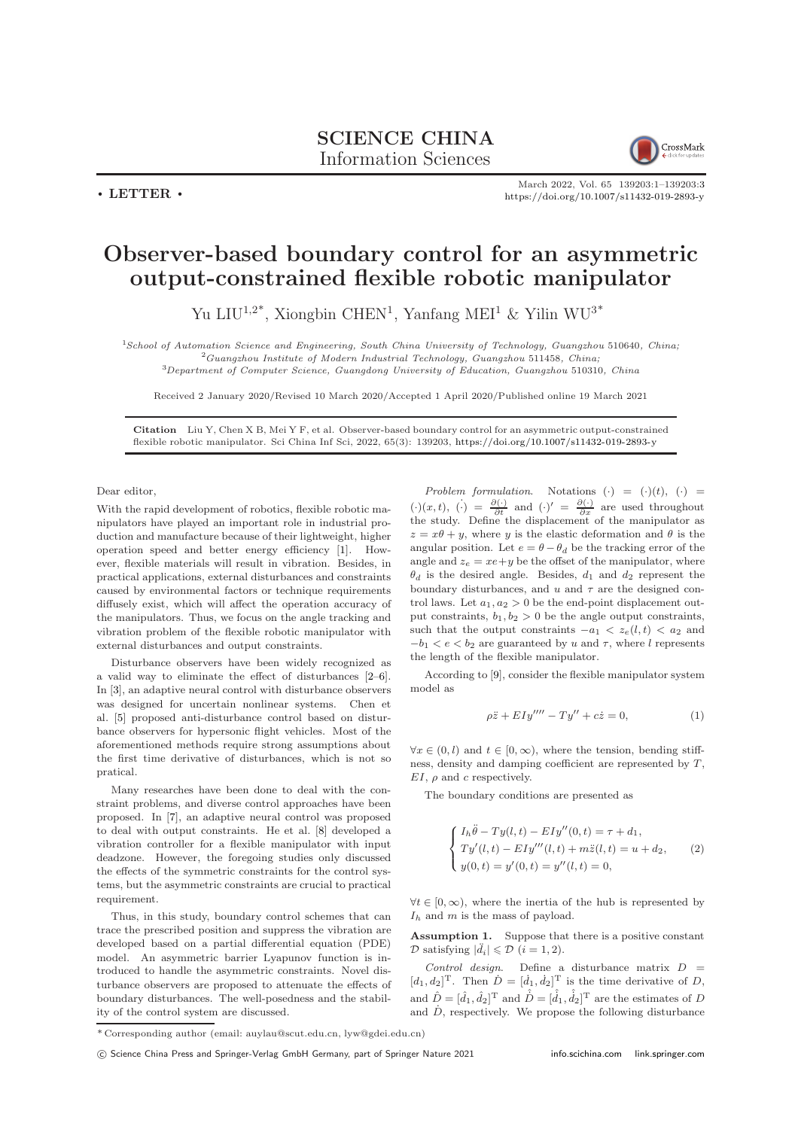## SCIENCE CHINA Information Sciences



 $\cdot$  LETTER  $\cdot$ 

March 2022, Vol. 65 139203:1–139203[:3](#page-2-0) <https://doi.org/10.1007/s11432-019-2893-y>

## Observer-based boundary control for an asymmetric output-constrained flexible robotic manipulator

Yu LIU<sup>1,2\*</sup>, Xiongbin CHEN<sup>1</sup>, Yanfang MEI<sup>1</sup> & Yilin WU<sup>3\*</sup>

<sup>1</sup>School of Automation Science and Engineering, South China University of Technology, Guangzhou 510640, China; <sup>2</sup>Guangzhou Institute of Modern Industrial Technology, Guangzhou 511458, China; <sup>3</sup>Department of Computer Science, Guangdong University of Education, Guangzhou 510310, China

Received 2 January 2020/Revised 10 March 2020/Accepted 1 April 2020/Published online 19 March 2021

Citation Liu Y, Chen X B, Mei Y F, et al. Observer-based boundary control for an asymmetric output-constrained flexible robotic manipulator. Sci China Inf Sci, 2022, 65(3): 139203, <https://doi.org/10.1007/s11432-019-2893-y>

Dear editor,

With the rapid development of robotics, flexible robotic manipulators have played an important role in industrial production and manufacture because of their lightweight, higher operation speed and better energy efficiency [\[1\]](#page-2-1). However, flexible materials will result in vibration. Besides, in practical applications, external disturbances and constraints caused by environmental factors or technique requirements diffusely exist, which will affect the operation accuracy of the manipulators. Thus, we focus on the angle tracking and vibration problem of the flexible robotic manipulator with external disturbances and output constraints.

Disturbance observers have been widely recognized as a valid way to eliminate the effect of disturbances [\[2–](#page-2-2)[6\]](#page-2-3). In [\[3\]](#page-2-4), an adaptive neural control with disturbance observers was designed for uncertain nonlinear systems. Chen et al. [\[5\]](#page-2-5) proposed anti-disturbance control based on disturbance observers for hypersonic flight vehicles. Most of the aforementioned methods require strong assumptions about the first time derivative of disturbances, which is not so pratical.

Many researches have been done to deal with the constraint problems, and diverse control approaches have been proposed. In [\[7\]](#page-2-6), an adaptive neural control was proposed to deal with output constraints. He et al. [\[8\]](#page-2-7) developed a vibration controller for a flexible manipulator with input deadzone. However, the foregoing studies only discussed the effects of the symmetric constraints for the control systems, but the asymmetric constraints are crucial to practical requirement.

Thus, in this study, boundary control schemes that can trace the prescribed position and suppress the vibration are developed based on a partial differential equation (PDE) model. An asymmetric barrier Lyapunov function is introduced to handle the asymmetric constraints. Novel disturbance observers are proposed to attenuate the effects of boundary disturbances. The well-posedness and the stability of the control system are discussed.

Problem formulation. Notations  $(\cdot) = (\cdot)(t), (\cdot) =$  $(\cdot)(x,t), (\cdot) = \frac{\partial(\cdot)}{\partial t}$  and  $(\cdot)' = \frac{\partial(\cdot)}{\partial x}$  are used throughout the study. Define the displacement of the manipulator as  $z = x\theta + y$ , where y is the elastic deformation and  $\theta$  is the angular position. Let  $e = \theta - \theta_d$  be the tracking error of the angle and  $z_e = xe + y$  be the offset of the manipulator, where  $\theta_d$  is the desired angle. Besides,  $d_1$  and  $d_2$  represent the boundary disturbances, and  $u$  and  $\tau$  are the designed control laws. Let  $a_1, a_2 > 0$  be the end-point displacement output constraints,  $b_1, b_2 > 0$  be the angle output constraints, such that the output constraints  $-a_1 < z_e(l, t) < a_2$  and  $-b_1 < e < b_2$  are guaranteed by u and  $\tau$ , where l represents the length of the flexible manipulator.

According to [\[9\]](#page-2-8), consider the flexible manipulator system model as

$$
\rho \ddot{z} + EI y''' - Ty'' + c\dot{z} = 0,\tag{1}
$$

 $\forall x \in (0, l)$  and  $t \in [0, \infty)$ , where the tension, bending stiffness, density and damping coefficient are represented by T,  $EI$ ,  $\rho$  and c respectively.

The boundary conditions are presented as

$$
\begin{cases}\nI_h \ddot{\theta} - T y(l, t) - E I y''(0, t) = \tau + d_1, \\
T y'(l, t) - E I y'''(l, t) + m \ddot{z}(l, t) = u + d_2, \\
y(0, t) = y'(0, t) = y''(l, t) = 0,\n\end{cases}
$$
\n(2)

 $\forall t \in [0, \infty)$ , where the inertia of the hub is represented by  $I_h$  and m is the mass of payload.

Assumption 1. Suppose that there is a positive constant  $\mathcal{D}$  satisfying  $|\ddot{d}_i| \leq \mathcal{D}$   $(i = 1, 2)$ .

Control design. Define a disturbance matrix  $D =$  $[d_1, d_2]^{\mathrm{T}}$ . Then  $\dot{D} = [\dot{d}_1, \dot{d}_2]^{\mathrm{T}}$  is the time derivative of D, and  $\hat{D} = [\hat{d}_1, \hat{d}_2]^{\mathrm{T}}$  and  $\hat{D} = [\hat{d}_1, \hat{d}_2]^{\mathrm{T}}$  are the estimates of D and  $\dot{D}$ , respectively. We propose the following disturbance

<sup>\*</sup> Corresponding author (email: auylau@scut.edu.cn, lyw@gdei.edu.cn)

c Science China Press and Springer-Verlag GmbH Germany, part of Springer Nature 2021 <info.scichina.com><link.springer.com>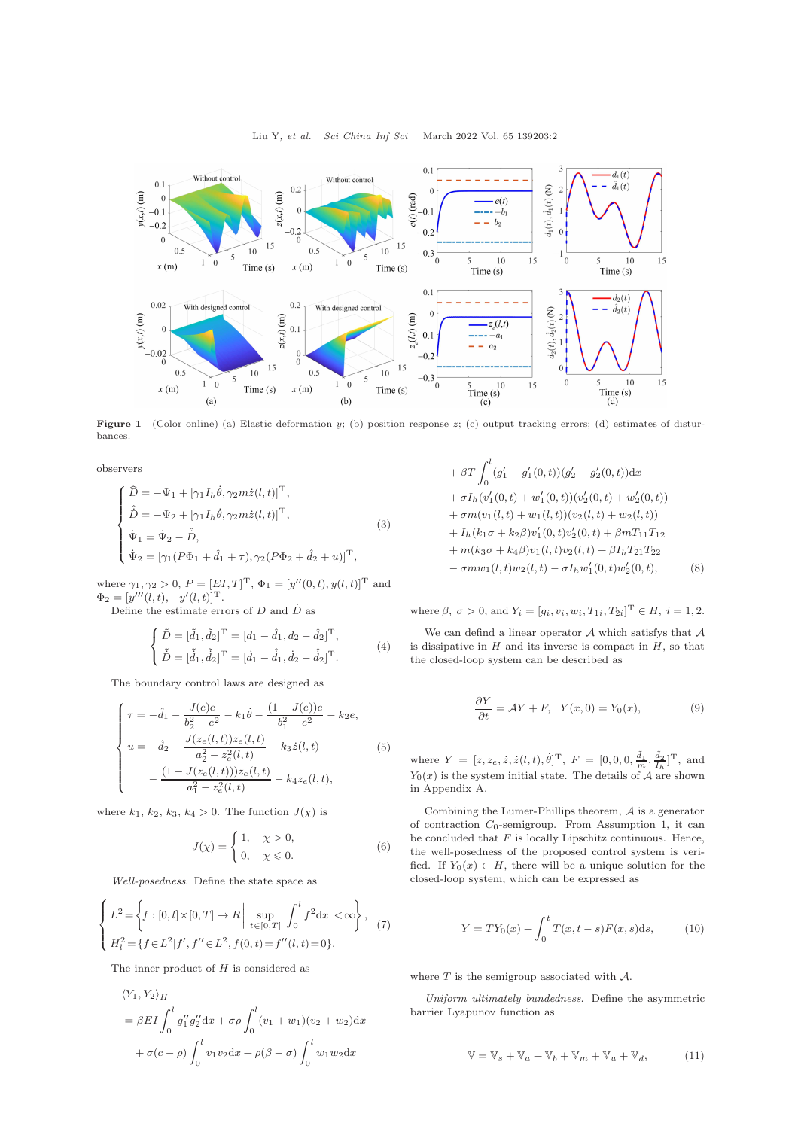

Figure 1 (Color online) (a) Elastic deformation y; (b) position response z; (c) output tracking errors; (d) estimates of disturbances.

observers

$$
\begin{cases}\n\widehat{D} = -\Psi_1 + [\gamma_1 I_h \dot{\theta}, \gamma_2 m \dot{z}(l, t)]^{\mathrm{T}}, \\
\widehat{D} = -\Psi_2 + [\gamma_1 I_h \dot{\theta}, \gamma_2 m \dot{z}(l, t)]^{\mathrm{T}}, \\
\dot{\Psi}_1 = \dot{\Psi}_2 - \widehat{D}, \\
\dot{\Psi}_2 = [\gamma_1 (P\Phi_1 + \widehat{d}_1 + \tau), \gamma_2 (P\Phi_2 + \widehat{d}_2 + u)]^{\mathrm{T}},\n\end{cases}
$$
\n(3)

where  $\gamma_1, \gamma_2 > 0$ ,  $P = [EI, T]^T$ ,  $\Phi_1 = [y''(0, t), y(l, t)]^T$  and  $\Phi_2 = [y'''(l, t), -y'(l, t)]^{\mathrm{T}}.$ 

Define the estimate errors of  $D$  and  $\dot{D}$  as

$$
\begin{cases}\n\tilde{D} = [\tilde{d}_1, \tilde{d}_2]^{\mathrm{T}} = [d_1 - \hat{d}_1, d_2 - \hat{d}_2]^{\mathrm{T}}, \\
\tilde{D} = [\tilde{d}_1, \tilde{d}_2]^{\mathrm{T}} = [\dot{d}_1 - \hat{d}_1, \dot{d}_2 - \hat{d}_2]^{\mathrm{T}}.\n\end{cases} (4)
$$

The boundary control laws are designed as

<span id="page-1-0"></span>
$$
\begin{cases}\n\tau = -\hat{d}_1 - \frac{J(e)e}{b_2^2 - e^2} - k_1 \hat{\theta} - \frac{(1 - J(e))e}{b_1^2 - e^2} - k_2 e, \\
u = -\hat{d}_2 - \frac{J(z_e(l, t))z_e(l, t)}{a_2^2 - z_e^2(l, t)} - k_3 \dot{z}(l, t) \\
-\frac{(1 - J(z_e(l, t)))z_e(l, t)}{a_1^2 - z_e^2(l, t)} - k_4 z_e(l, t),\n\end{cases}
$$
\n(5)

where  $k_1$ ,  $k_2$ ,  $k_3$ ,  $k_4 > 0$ . The function  $J(\chi)$  is

$$
J(\chi) = \begin{cases} 1, & \chi > 0, \\ 0, & \chi \le 0. \end{cases}
$$
 (6)

Well-posedness. Define the state space as

$$
\begin{cases}\nL^2 = \left\{ f : [0, l] \times [0, T] \to R \, \middle| \, \sup_{t \in [0, T]} \left| \int_0^l f^2 dx \right| < \infty \right\}, \\
H_l^2 = \left\{ f \in L^2 | f', f'' \in L^2, f(0, t) = f''(l, t) = 0 \right\}.\n\end{cases} \tag{7}
$$

The inner product of  $H$  is considered as

$$
\langle Y_1, Y_2 \rangle_H
$$
  
=  $\beta EI \int_0^l g_1'' g_2'' dx + \sigma \rho \int_0^l (v_1 + w_1)(v_2 + w_2) dx$   
+  $\sigma(c - \rho) \int_0^l v_1 v_2 dx + \rho(\beta - \sigma) \int_0^l w_1 w_2 dx$ 

+ 
$$
\beta T \int_0^l (g'_1 - g'_1(0, t))(g'_2 - g'_2(0, t))dx
$$
  
+  $\sigma I_h(v'_1(0, t) + w'_1(0, t))(v'_2(0, t) + w'_2(0, t))$   
+  $\sigma m(v_1(l, t) + w_1(l, t))(v_2(l, t) + w_2(l, t))$   
+  $I_h(k_1\sigma + k_2\beta)v'_1(0, t)v'_2(0, t) + \beta mT_{11}T_{12}$   
+  $m(k_3\sigma + k_4\beta)v_1(l, t)v_2(l, t) + \beta I_hT_{21}T_{22}$   
-  $\sigma m w_1(l, t)w_2(l, t) - \sigma I_h w'_1(0, t)w'_2(0, t),$  (8)

where  $\beta, \sigma > 0$ , and  $Y_i = [g_i, v_i, w_i, T_{1i}, T_{2i}]^T \in H, i = 1, 2$ .

We can defind a linear operator  $A$  which satisfys that  $A$ is dissipative in  $H$  and its inverse is compact in  $H$ , so that the closed-loop system can be described as

$$
\frac{\partial Y}{\partial t} = \mathcal{A}Y + F, \quad Y(x,0) = Y_0(x), \tag{9}
$$

where  $Y = [z, z_e, \dot{z}, \dot{z}(l, t), \dot{\theta}]^{\text{T}}, F = [0, 0, 0, \frac{\tilde{d}_1}{m}, \frac{\tilde{d}_2}{I_h}]^{\text{T}}, \text{ and}$  $Y_0(x)$  is the system initial state. The details of A are shown in Appendix A.

Combining the Lumer-Phillips theorem,  $\mathcal A$  is a generator of contraction  $C_0$ -semigroup. From Assumption 1, it can be concluded that  $F$  is locally Lipschitz continuous. Hence, the well-posedness of the proposed control system is verified. If  $Y_0(x) \in H$ , there will be a unique solution for the closed-loop system, which can be expressed as

$$
Y = TY_0(x) + \int_0^t T(x, t - s) F(x, s) \, ds,\tag{10}
$$

where  $T$  is the semigroup associated with  $A$ .

Uniform ultimately bundedness. Define the asymmetric barrier Lyapunov function as

<span id="page-1-1"></span>
$$
\mathbb{V} = \mathbb{V}_s + \mathbb{V}_a + \mathbb{V}_b + \mathbb{V}_m + \mathbb{V}_u + \mathbb{V}_d, \tag{11}
$$